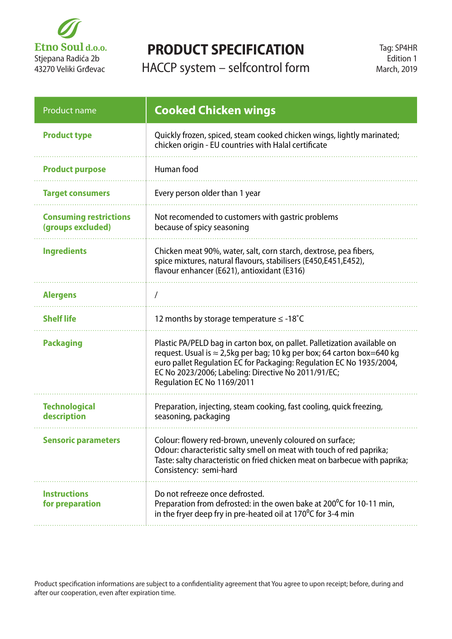

## **PRODUCT SPECIFICATION**

HACCP system – selfcontrol form

| Product name                                       | <b>Cooked Chicken wings</b>                                                                                                                                                                                                                                                                                             |
|----------------------------------------------------|-------------------------------------------------------------------------------------------------------------------------------------------------------------------------------------------------------------------------------------------------------------------------------------------------------------------------|
| <b>Product type</b>                                | Quickly frozen, spiced, steam cooked chicken wings, lightly marinated;<br>chicken origin - EU countries with Halal certificate                                                                                                                                                                                          |
| <b>Product purpose</b>                             | Human food                                                                                                                                                                                                                                                                                                              |
| <b>Target consumers</b>                            | Every person older than 1 year                                                                                                                                                                                                                                                                                          |
| <b>Consuming restrictions</b><br>(groups excluded) | Not recomended to customers with gastric problems<br>because of spicy seasoning                                                                                                                                                                                                                                         |
| <b>Ingredients</b>                                 | Chicken meat 90%, water, salt, corn starch, dextrose, pea fibers,<br>spice mixtures, natural flavours, stabilisers (E450,E451,E452),<br>flavour enhancer (E621), antioxidant (E316)                                                                                                                                     |
| <b>Alergens</b>                                    |                                                                                                                                                                                                                                                                                                                         |
| <b>Shelf life</b>                                  | 12 months by storage temperature $\leq$ -18°C                                                                                                                                                                                                                                                                           |
| <b>Packaging</b>                                   | Plastic PA/PELD bag in carton box, on pallet. Palletization available on<br>request. Usual is $\approx$ 2,5kg per bag; 10 kg per box; 64 carton box=640 kg<br>euro pallet Regulation EC for Packaging: Regulation EC No 1935/2004,<br>EC No 2023/2006; Labeling: Directive No 2011/91/EC;<br>Regulation EC No 1169/2011 |
| <b>Technological</b><br>description                | Preparation, injecting, steam cooking, fast cooling, quick freezing,<br>seasoning, packaging                                                                                                                                                                                                                            |
| <b>Sensoric parameters</b>                         | Colour: flowery red-brown, unevenly coloured on surface;<br>Odour: characteristic salty smell on meat with touch of red paprika;<br>Taste: salty characteristic on fried chicken meat on barbecue with paprika;<br>Consistency: semi-hard                                                                               |
| <b>Instructions</b><br>for preparation             | Do not refreeze once defrosted.<br>Preparation from defrosted: in the owen bake at 200 <sup>°</sup> C for 10-11 min,<br>in the fryer deep fry in pre-heated oil at $170^{\circ}$ C for 3-4 min                                                                                                                          |

Product specification informations are subject to a confidentiality agreement that You agree to upon receipt; before, during and after our cooperation, even after expiration time.